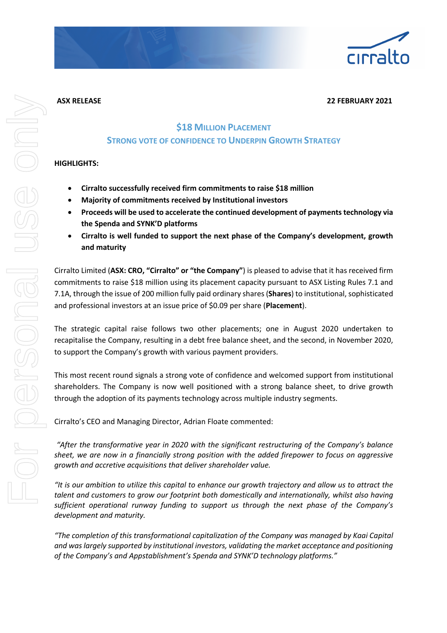#### **ASX RELEASE 22 FEBRUARY 2021**

# **\$18 MILLION PLACEMENT STRONG VOTE OF CONFIDENCE TO UNDERPIN GROWTH STRATEGY**

## **HIGHLIGHTS:**

- **Cirralto successfully received firm commitments to raise \$18 million**
- **Majority of commitments received by Institutional investors**
- **Proceeds will be used to accelerate the continued development of payments technology via the Spenda and SYNK'D platforms**
- **Cirralto is well funded to support the next phase of the Company's development, growth and maturity**

Cirralto Limited (**ASX: CRO, "Cirralto" or "the Company"**) is pleased to advise that it has received firm commitments to raise \$18 million using its placement capacity pursuant to ASX Listing Rules 7.1 and 7.1A, through the issue of 200 million fully paid ordinary shares (**Shares**) to institutional, sophisticated and professional investors at an issue price of \$0.09 per share (**Placement**).

The strategic capital raise follows two other placements; one in August 2020 undertaken to recapitalise the Company, resulting in a debt free balance sheet, and the second, in November 2020, to support the Company's growth with various payment providers.

This most recent round signals a strong vote of confidence and welcomed support from institutional shareholders. The Company is now well positioned with a strong balance sheet, to drive growth through the adoption of its payments technology across multiple industry segments.

Cirralto's CEO and Managing Director, Adrian Floate commented:

*"After the transformative year in 2020 with the significant restructuring of the Company's balance sheet, we are now in a financially strong position with the added firepower to focus on aggressive growth and accretive acquisitions that deliver shareholder value.* 

*"It is our ambition to utilize this capital to enhance our growth trajectory and allow us to attract the talent and customers to grow our footprint both domestically and internationally, whilst also having sufficient operational runway funding to support us through the next phase of the Company's development and maturity.*

*"The completion of this transformational capitalization of the Company was managed by Kaai Capital and was largely supported by institutional investors, validating the market acceptance and positioning of the Company's and Appstablishment's Spenda and SYNK'D technology platforms."*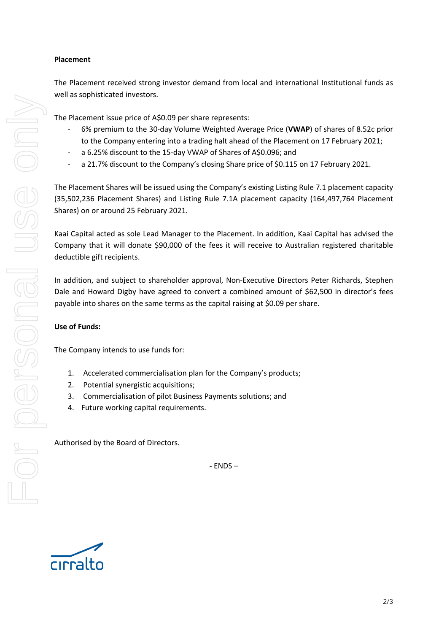## **Placement**

The Placement received strong investor demand from local and international Institutional funds as well as sophisticated investors.

The Placement issue price of A\$0.09 per share represents:

- 6% premium to the 30-day Volume Weighted Average Price (**VWAP**) of shares of 8.52c prior to the Company entering into a trading halt ahead of the Placement on 17 February 2021;
- a 6.25% discount to the 15-day VWAP of Shares of A\$0.096; and
- a 21.7% discount to the Company's closing Share price of \$0.115 on 17 February 2021.

The Placement Shares will be issued using the Company's existing Listing Rule 7.1 placement capacity (35,502,236 Placement Shares) and Listing Rule 7.1A placement capacity (164,497,764 Placement Shares) on or around 25 February 2021.

Kaai Capital acted as sole Lead Manager to the Placement. In addition, Kaai Capital has advised the Company that it will donate \$90,000 of the fees it will receive to Australian registered charitable deductible gift recipients.

In addition, and subject to shareholder approval, Non-Executive Directors Peter Richards, Stephen Dale and Howard Digby have agreed to convert a combined amount of \$62,500 in director's fees payable into shares on the same terms as the capital raising at \$0.09 per share.

## **Use of Funds:**

The Company intends to use funds for:

- 1. Accelerated commercialisation plan for the Company's products;
- 2. Potential synergistic acquisitions;
- 3. Commercialisation of pilot Business Payments solutions; and
- 4. Future working capital requirements.

Authorised by the Board of Directors.

- ENDS –